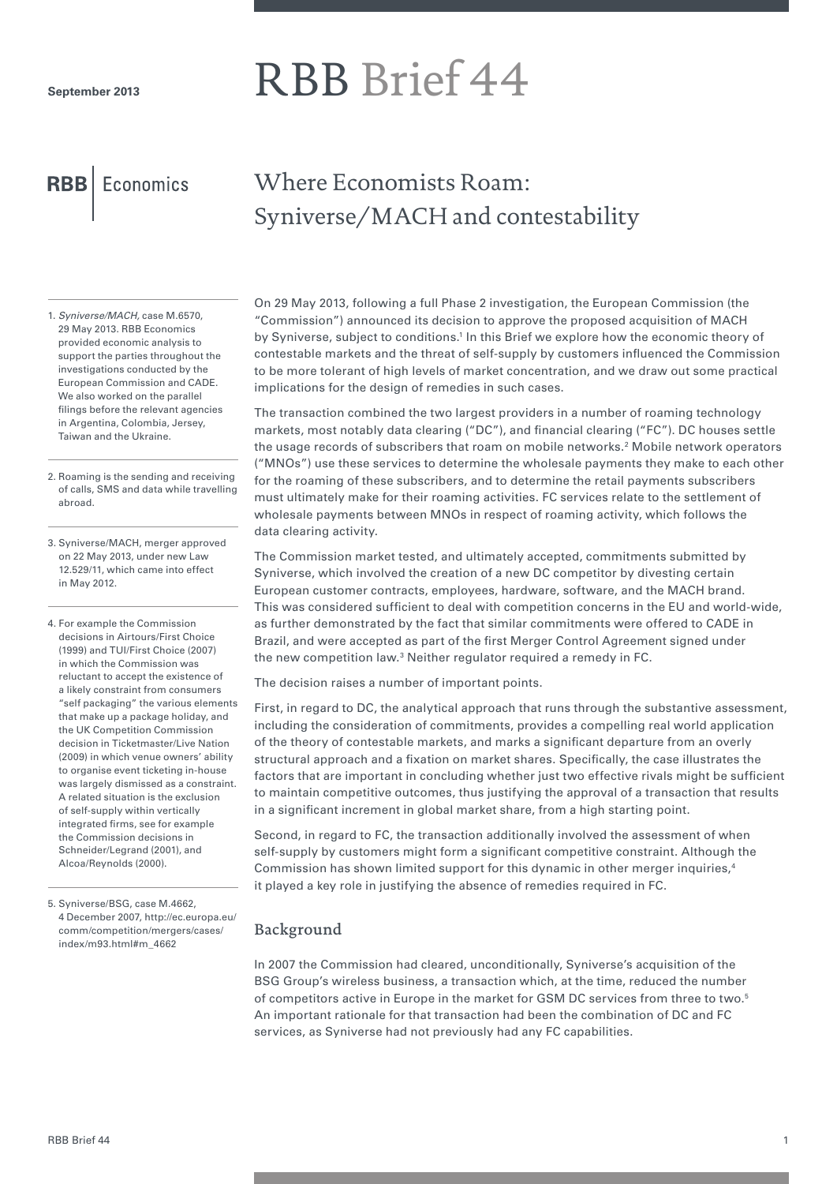# RBB Brief 44

**RBB** Economics

## Where Economists Roam: Syniverse/MACH and contestability

- 1. *Syniverse/MACH,* case M.6570, 29 May 2013. RBB Economics provided economic analysis to support the parties throughout the investigations conducted by the European Commission and CADE. We also worked on the parallel filings before the relevant agencies in Argentina, Colombia, Jersey, Taiwan and the Ukraine.
- 2. Roaming is the sending and receiving of calls, SMS and data while travelling abroad.
- 3. Syniverse/MACH, merger approved on 22 May 2013, under new Law 12.529/11, which came into effect in May 2012.

4. For example the Commission decisions in Airtours/First Choice (1999) and TUI/First Choice (2007) in which the Commission was reluctant to accept the existence of a likely constraint from consumers "self packaging" the various elements that make up a package holiday, and the UK Competition Commission decision in Ticketmaster/Live Nation (2009) in which venue owners' ability to organise event ticketing in-house was largely dismissed as a constraint. A related situation is the exclusion of self-supply within vertically integrated firms, see for example the Commission decisions in Schneider/Legrand (2001), and Alcoa/Reynolds (2000).

5. Syniverse/BSG, case M.4662, 4 December 2007, http://ec.europa.eu/ comm/competition/mergers/cases/ index/m93.html#m\_4662

On 29 May 2013, following a full Phase 2 investigation, the European Commission (the "Commission") announced its decision to approve the proposed acquisition of MACH by Syniverse, subject to conditions.<sup>1</sup> In this Brief we explore how the economic theory of contestable markets and the threat of self-supply by customers influenced the Commission to be more tolerant of high levels of market concentration, and we draw out some practical implications for the design of remedies in such cases.

The transaction combined the two largest providers in a number of roaming technology markets, most notably data clearing ("DC"), and financial clearing ("FC"). DC houses settle the usage records of subscribers that roam on mobile networks.<sup>2</sup> Mobile network operators ("MNOs") use these services to determine the wholesale payments they make to each other for the roaming of these subscribers, and to determine the retail payments subscribers must ultimately make for their roaming activities. FC services relate to the settlement of wholesale payments between MNOs in respect of roaming activity, which follows the data clearing activity.

The Commission market tested, and ultimately accepted, commitments submitted by Syniverse, which involved the creation of a new DC competitor by divesting certain European customer contracts, employees, hardware, software, and the MACH brand. This was considered sufficient to deal with competition concerns in the EU and world-wide, as further demonstrated by the fact that similar commitments were offered to CADE in Brazil, and were accepted as part of the first Merger Control Agreement signed under the new competition law.<sup>3</sup> Neither regulator required a remedy in FC.

The decision raises a number of important points.

First, in regard to DC, the analytical approach that runs through the substantive assessment, including the consideration of commitments, provides a compelling real world application of the theory of contestable markets, and marks a significant departure from an overly structural approach and a fixation on market shares. Specifically, the case illustrates the factors that are important in concluding whether just two effective rivals might be sufficient to maintain competitive outcomes, thus justifying the approval of a transaction that results in a significant increment in global market share, from a high starting point.

Second, in regard to FC, the transaction additionally involved the assessment of when self-supply by customers might form a significant competitive constraint. Although the Commission has shown limited support for this dynamic in other merger inquiries,<sup>4</sup> it played a key role in justifying the absence of remedies required in FC.

### Background

In 2007 the Commission had cleared, unconditionally, Syniverse's acquisition of the BSG Group's wireless business, a transaction which, at the time, reduced the number of competitors active in Europe in the market for GSM DC services from three to two.5 An important rationale for that transaction had been the combination of DC and FC services, as Syniverse had not previously had any FC capabilities.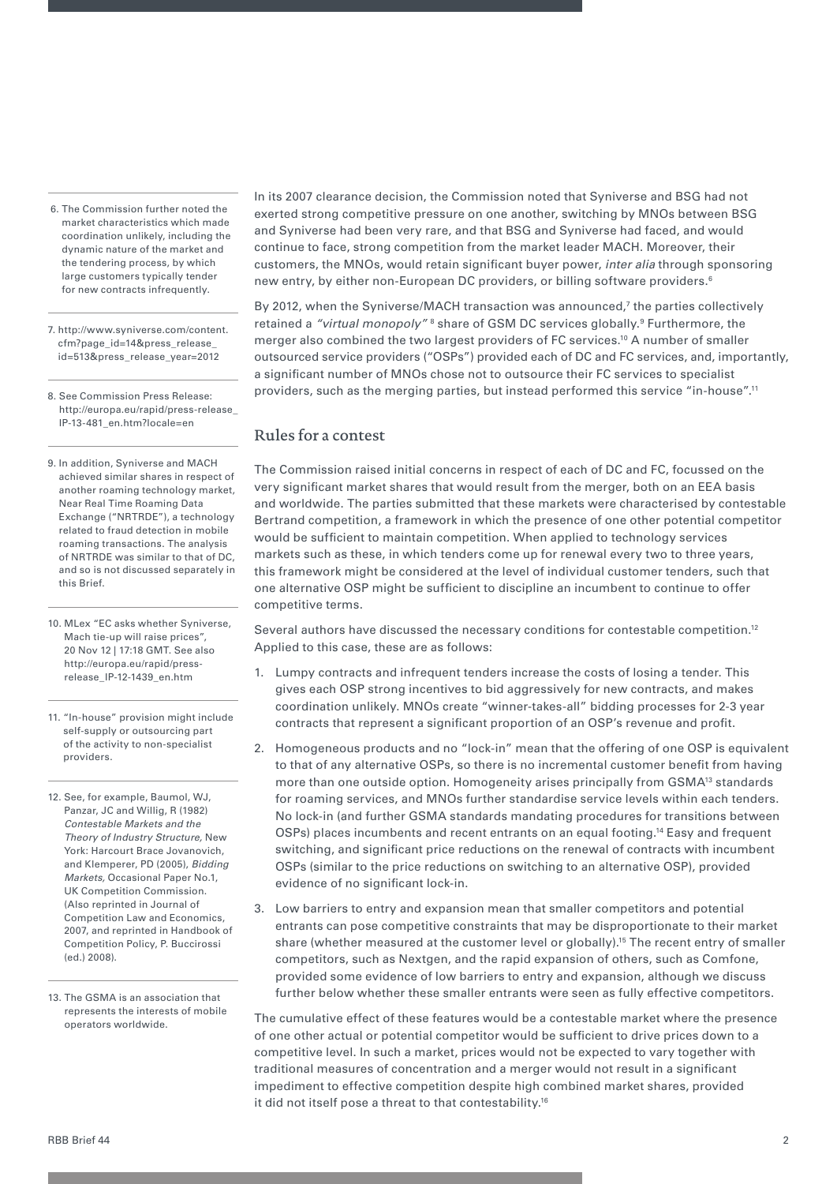- 6. The Commission further noted the market characteristics which made coordination unlikely, including the dynamic nature of the market and the tendering process, by which large customers typically tender for new contracts infrequently.
- 7. http://www.syniverse.com/content. cfm?page\_id=14&press\_release\_ id=513&press\_release\_year=2012
- 8. See Commission Press Release: http://europa.eu/rapid/press-release\_ IP-13-481\_en.htm?locale=en

9. In addition, Syniverse and MACH achieved similar shares in respect of another roaming technology market, Near Real Time Roaming Data Exchange ("NRTRDE"), a technology related to fraud detection in mobile roaming transactions. The analysis of NRTRDE was similar to that of DC, and so is not discussed separately in this Brief.

10. MLex "EC asks whether Syniverse, Mach tie-up will raise prices", 20 Nov 12 | 17:18 GMT. See also http://europa.eu/rapid/pressrelease\_IP-12-1439\_en.htm

- 11. "In-house" provision might include self-supply or outsourcing part of the activity to non-specialist providers.
- 12. See, for example, Baumol, WJ, Panzar, JC and Willig, R (1982) *Contestable Markets and the Theory of Industry Structure,* New York: Harcourt Brace Jovanovich, and Klemperer, PD (2005), *Bidding Markets,* Occasional Paper No.1, UK Competition Commission. (Also reprinted in Journal of Competition Law and Economics, 2007, and reprinted in Handbook of Competition Policy, P. Buccirossi (ed.) 2008).
- 13. The GSMA is an association that represents the interests of mobile operators worldwide.

In its 2007 clearance decision, the Commission noted that Syniverse and BSG had not exerted strong competitive pressure on one another, switching by MNOs between BSG and Syniverse had been very rare, and that BSG and Syniverse had faced, and would continue to face, strong competition from the market leader MACH. Moreover, their customers, the MNOs, would retain significant buyer power, *inter alia* through sponsoring new entry, by either non-European DC providers, or billing software providers.<sup>6</sup>

By 2012, when the Syniverse/MACH transaction was announced,<sup>7</sup> the parties collectively retained a *"virtual monopoly"* <sup>8</sup> share of GSM DC services globally.<sup>9</sup> Furthermore, the merger also combined the two largest providers of FC services.<sup>10</sup> A number of smaller outsourced service providers ("OSPs") provided each of DC and FC services, and, importantly, a significant number of MNOs chose not to outsource their FC services to specialist providers, such as the merging parties, but instead performed this service "in-house".11

#### Rules for a contest

The Commission raised initial concerns in respect of each of DC and FC, focussed on the very significant market shares that would result from the merger, both on an EEA basis and worldwide. The parties submitted that these markets were characterised by contestable Bertrand competition, a framework in which the presence of one other potential competitor would be sufficient to maintain competition. When applied to technology services markets such as these, in which tenders come up for renewal every two to three years, this framework might be considered at the level of individual customer tenders, such that one alternative OSP might be sufficient to discipline an incumbent to continue to offer competitive terms.

Several authors have discussed the necessary conditions for contestable competition.<sup>12</sup> Applied to this case, these are as follows:

- 1. Lumpy contracts and infrequent tenders increase the costs of losing a tender. This gives each OSP strong incentives to bid aggressively for new contracts, and makes coordination unlikely. MNOs create "winner-takes-all" bidding processes for 2-3 year contracts that represent a significant proportion of an OSP's revenue and profit.
- 2. Homogeneous products and no "lock-in" mean that the offering of one OSP is equivalent to that of any alternative OSPs, so there is no incremental customer benefit from having more than one outside option. Homogeneity arises principally from GSMA<sup>13</sup> standards for roaming services, and MNOs further standardise service levels within each tenders. No lock-in (and further GSMA standards mandating procedures for transitions between OSPs) places incumbents and recent entrants on an equal footing.14 Easy and frequent switching, and significant price reductions on the renewal of contracts with incumbent OSPs (similar to the price reductions on switching to an alternative OSP), provided evidence of no significant lock-in.
- 3. Low barriers to entry and expansion mean that smaller competitors and potential entrants can pose competitive constraints that may be disproportionate to their market share (whether measured at the customer level or globally).<sup>15</sup> The recent entry of smaller competitors, such as Nextgen, and the rapid expansion of others, such as Comfone, provided some evidence of low barriers to entry and expansion, although we discuss further below whether these smaller entrants were seen as fully effective competitors.

The cumulative effect of these features would be a contestable market where the presence of one other actual or potential competitor would be sufficient to drive prices down to a competitive level. In such a market, prices would not be expected to vary together with traditional measures of concentration and a merger would not result in a significant impediment to effective competition despite high combined market shares, provided it did not itself pose a threat to that contestability.16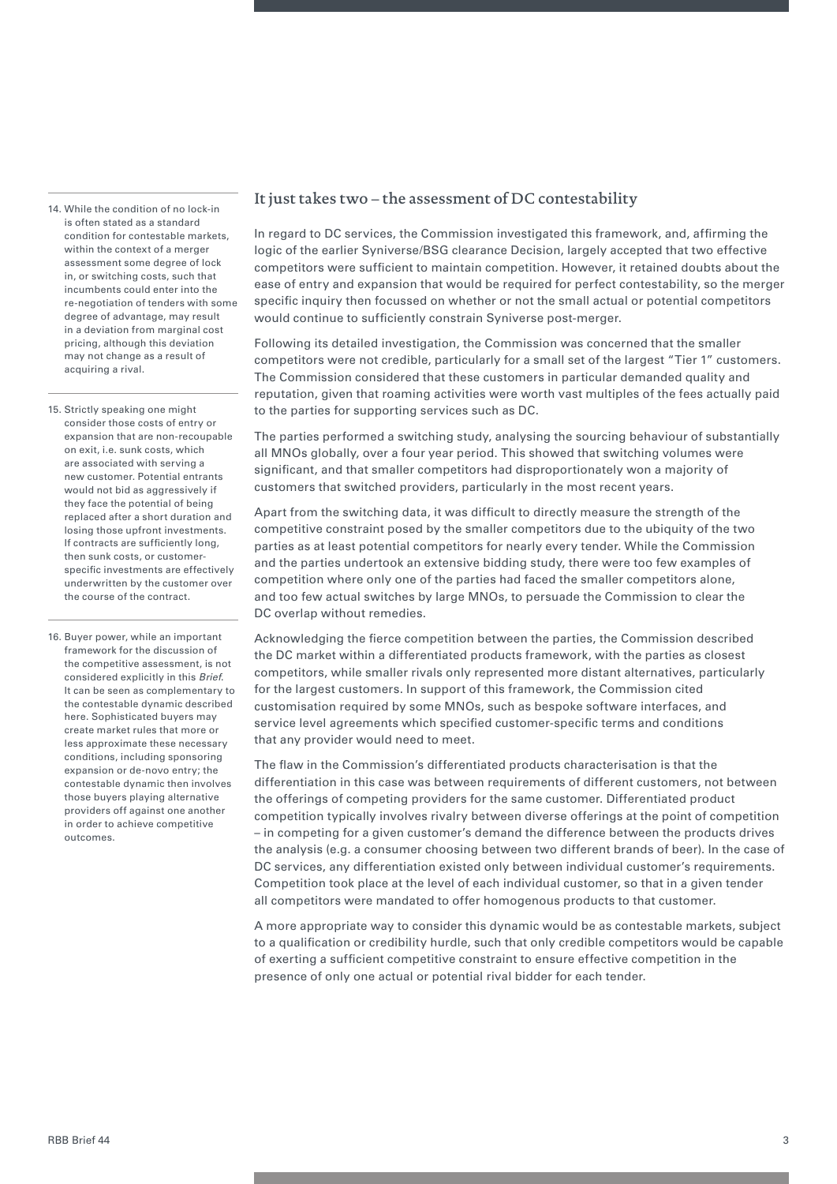14. While the condition of no lock-in is often stated as a standard condition for contestable markets, within the context of a merger assessment some degree of lock in, or switching costs, such that incumbents could enter into the re-negotiation of tenders with some degree of advantage, may result in a deviation from marginal cost pricing, although this deviation may not change as a result of acquiring a rival.

15. Strictly speaking one might consider those costs of entry or expansion that are non-recoupable on exit, i.e. sunk costs, which are associated with serving a new customer. Potential entrants would not bid as aggressively if they face the potential of being replaced after a short duration and losing those upfront investments. If contracts are sufficiently long, then sunk costs, or customerspecific investments are effectively underwritten by the customer over the course of the contract.

16. Buyer power, while an important framework for the discussion of the competitive assessment, is not considered explicitly in this *Brief*. It can be seen as complementary to the contestable dynamic described here. Sophisticated buyers may create market rules that more or less approximate these necessary conditions, including sponsoring expansion or de-novo entry; the contestable dynamic then involves those buyers playing alternative providers off against one another in order to achieve competitive outcomes.

#### It just takes two – the assessment of DC contestability

In regard to DC services, the Commission investigated this framework, and, affirming the logic of the earlier Syniverse/BSG clearance Decision, largely accepted that two effective competitors were sufficient to maintain competition. However, it retained doubts about the ease of entry and expansion that would be required for perfect contestability, so the merger specific inquiry then focussed on whether or not the small actual or potential competitors would continue to sufficiently constrain Syniverse post-merger.

Following its detailed investigation, the Commission was concerned that the smaller competitors were not credible, particularly for a small set of the largest "Tier 1" customers. The Commission considered that these customers in particular demanded quality and reputation, given that roaming activities were worth vast multiples of the fees actually paid to the parties for supporting services such as DC.

The parties performed a switching study, analysing the sourcing behaviour of substantially all MNOs globally, over a four year period. This showed that switching volumes were significant, and that smaller competitors had disproportionately won a majority of customers that switched providers, particularly in the most recent years.

Apart from the switching data, it was difficult to directly measure the strength of the competitive constraint posed by the smaller competitors due to the ubiquity of the two parties as at least potential competitors for nearly every tender. While the Commission and the parties undertook an extensive bidding study, there were too few examples of competition where only one of the parties had faced the smaller competitors alone, and too few actual switches by large MNOs, to persuade the Commission to clear the DC overlap without remedies.

Acknowledging the fierce competition between the parties, the Commission described the DC market within a differentiated products framework, with the parties as closest competitors, while smaller rivals only represented more distant alternatives, particularly for the largest customers. In support of this framework, the Commission cited customisation required by some MNOs, such as bespoke software interfaces, and service level agreements which specified customer-specific terms and conditions that any provider would need to meet.

The flaw in the Commission's differentiated products characterisation is that the differentiation in this case was between requirements of different customers, not between the offerings of competing providers for the same customer. Differentiated product competition typically involves rivalry between diverse offerings at the point of competition – in competing for a given customer's demand the difference between the products drives the analysis (e.g. a consumer choosing between two different brands of beer). In the case of DC services, any differentiation existed only between individual customer's requirements. Competition took place at the level of each individual customer, so that in a given tender all competitors were mandated to offer homogenous products to that customer.

A more appropriate way to consider this dynamic would be as contestable markets, subject to a qualification or credibility hurdle, such that only credible competitors would be capable of exerting a sufficient competitive constraint to ensure effective competition in the presence of only one actual or potential rival bidder for each tender.